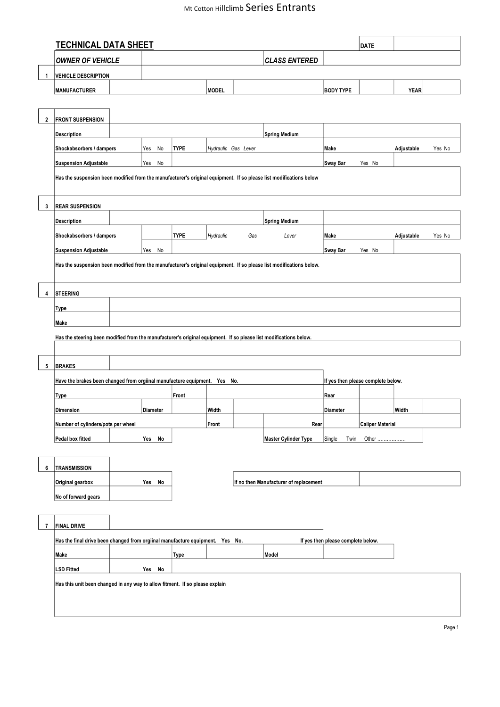## Mt Cotton Hillclimb Series Entrants

|              | <b>TECHNICAL DATA SHEET</b>                                                                                         |                                                                                                                     |             |                     |                      |                             |                  | <b>DATE</b>             |             |        |  |
|--------------|---------------------------------------------------------------------------------------------------------------------|---------------------------------------------------------------------------------------------------------------------|-------------|---------------------|----------------------|-----------------------------|------------------|-------------------------|-------------|--------|--|
|              | <b>OWNER OF VEHICLE</b>                                                                                             |                                                                                                                     |             |                     |                      | <b>CLASS ENTERED</b>        |                  |                         |             |        |  |
| 1            | <b>VEHICLE DESCRIPTION</b>                                                                                          |                                                                                                                     |             |                     |                      |                             |                  |                         |             |        |  |
|              | MANUFACTURER                                                                                                        |                                                                                                                     |             | <b>MODEL</b>        |                      |                             | <b>BODY TYPE</b> |                         | <b>YEAR</b> |        |  |
|              |                                                                                                                     |                                                                                                                     |             |                     |                      |                             |                  |                         |             |        |  |
| $\mathbf{2}$ | <b>FRONT SUSPENSION</b>                                                                                             |                                                                                                                     |             |                     |                      |                             |                  |                         |             |        |  |
|              | Description                                                                                                         |                                                                                                                     |             |                     |                      | <b>Spring Medium</b>        |                  |                         |             |        |  |
|              | Shockabsorbers / dampers                                                                                            | Yes<br>No                                                                                                           | <b>TYPE</b> | Hydraulic Gas Lever |                      |                             | Make             |                         | Adjustable  | Yes No |  |
|              | <b>Suspension Adjustable</b>                                                                                        | Yes<br>No                                                                                                           |             |                     |                      |                             | <b>Sway Bar</b>  | Yes No                  |             |        |  |
|              |                                                                                                                     | Has the suspension been modified from the manufacturer's original equipment. If so please list modifications below  |             |                     |                      |                             |                  |                         |             |        |  |
|              |                                                                                                                     |                                                                                                                     |             |                     |                      |                             |                  |                         |             |        |  |
| 3            | <b>REAR SUSPENSION</b>                                                                                              |                                                                                                                     |             |                     |                      |                             |                  |                         |             |        |  |
|              | <b>Description</b>                                                                                                  |                                                                                                                     |             |                     | <b>Spring Medium</b> |                             |                  |                         |             |        |  |
|              |                                                                                                                     |                                                                                                                     |             |                     |                      |                             |                  |                         |             |        |  |
|              | Shockabsorbers / dampers                                                                                            |                                                                                                                     | <b>TYPE</b> | Hydraulic           | Gas                  | Lever                       | Make             |                         | Adjustable  | Yes No |  |
|              | <b>Suspension Adjustable</b>                                                                                        | Yes<br>No                                                                                                           |             |                     |                      |                             | Sway Bar         | Yes No                  |             |        |  |
|              | Has the suspension been modified from the manufacturer's original equipment. If so please list modifications below. |                                                                                                                     |             |                     |                      |                             |                  |                         |             |        |  |
|              |                                                                                                                     |                                                                                                                     |             |                     |                      |                             |                  |                         |             |        |  |
| 4            | <b>STEERING</b>                                                                                                     |                                                                                                                     |             |                     |                      |                             |                  |                         |             |        |  |
|              | Type                                                                                                                |                                                                                                                     |             |                     |                      |                             |                  |                         |             |        |  |
|              | Make                                                                                                                |                                                                                                                     |             |                     |                      |                             |                  |                         |             |        |  |
|              | Has the steering been modified from the manufacturer's original equipment. If so please list modifications below.   |                                                                                                                     |             |                     |                      |                             |                  |                         |             |        |  |
|              |                                                                                                                     |                                                                                                                     |             |                     |                      |                             |                  |                         |             |        |  |
| 5            | <b>BRAKES</b>                                                                                                       |                                                                                                                     |             |                     |                      |                             |                  |                         |             |        |  |
|              | Have the brakes been changed from orgiinal manufacture equipment. Yes No.<br>If yes then please complete below.     |                                                                                                                     |             |                     |                      |                             |                  |                         |             |        |  |
|              | Type                                                                                                                | Front                                                                                                               |             |                     |                      | Rear                        |                  |                         |             |        |  |
|              | Dimension                                                                                                           | Diameter                                                                                                            |             | Width               |                      |                             | Diameter         |                         | Width       |        |  |
|              |                                                                                                                     |                                                                                                                     |             | Front               |                      | Rear                        |                  | <b>Caliper Material</b> |             |        |  |
|              | Number of cylinders/pots per wheel                                                                                  |                                                                                                                     |             |                     |                      |                             |                  | Other                   |             |        |  |
|              | Pedal box fitted                                                                                                    | Yes No                                                                                                              |             |                     |                      | <b>Master Cylinder Type</b> | Single<br>Twin   |                         |             |        |  |
|              |                                                                                                                     |                                                                                                                     |             |                     |                      |                             |                  |                         |             |        |  |
| 6            | <b>TRANSMISSION</b>                                                                                                 |                                                                                                                     |             |                     |                      |                             |                  |                         |             |        |  |
|              | Original gearbox                                                                                                    | If no then Manufacturer of replacement<br>Yes No                                                                    |             |                     |                      |                             |                  |                         |             |        |  |
|              | No of forward gears                                                                                                 |                                                                                                                     |             |                     |                      |                             |                  |                         |             |        |  |
|              |                                                                                                                     |                                                                                                                     |             |                     |                      |                             |                  |                         |             |        |  |
| 7            | <b>FINAL DRIVE</b>                                                                                                  |                                                                                                                     |             |                     |                      |                             |                  |                         |             |        |  |
|              |                                                                                                                     | Has the final drive been changed from orgiinal manufacture equipment. Yes No.<br>If yes then please complete below. |             |                     |                      |                             |                  |                         |             |        |  |
|              | Make                                                                                                                |                                                                                                                     | Type        |                     |                      | Model                       |                  |                         |             |        |  |
|              | <b>LSD Fitted</b>                                                                                                   | Yes No                                                                                                              |             |                     |                      |                             |                  |                         |             |        |  |
|              |                                                                                                                     | Has this unit been changed in any way to allow fitment. If so please explain                                        |             |                     |                      |                             |                  |                         |             |        |  |
|              |                                                                                                                     |                                                                                                                     |             |                     |                      |                             |                  |                         |             |        |  |
|              |                                                                                                                     |                                                                                                                     |             |                     |                      |                             |                  |                         |             |        |  |
|              |                                                                                                                     |                                                                                                                     |             |                     |                      |                             |                  |                         |             |        |  |